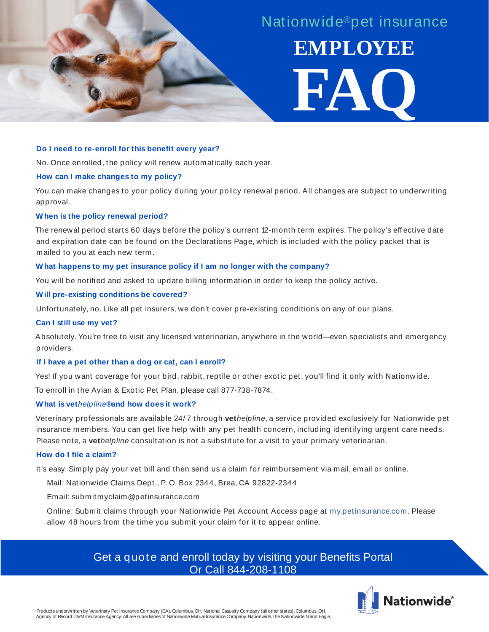

# **Do I need to re-enroll for this benefit every year?**

No. Once enrolled, the policy will renew automatically each year.

## **How can I make changes to my policy?**

You can make changes to your policy during your policy renewal period. All changes are subject to underwriting approval.

# **When is the policy renewal period?**

The renewal period starts 60 days before the policy's current 12-month term expires. The policy's eff ective date and expiration date can be found on the Declarations Page, which is included with the policy packet that is mailed to you at each new term.

## **What happens to my pet insurance policy if I am no longer with the company?**

You will be notified and asked to update billing information in order to keep the policy active.

# **Will pre-existing conditions be covered?**

Unfortunately, no. Like all pet insurers, we don't cover pre-existing conditions on any of our plans.

#### **Can I still use my vet?**

Absolutely. You're free to visit any licensed veterinarian, anywhere in the world—even specialists and emergency providers.

# **If I have a pet other than a dog or cat, can I enroll?**

Yes! If you want coverage for your bird, rabbit, reptile or other exotic pet, you'll find it only with Nationwide.

To enroll in the Avian & Exotic Pet Plan, please call 877-738-7874.

# **What is vet***helpline***®and how does it work?**

Veterinary professionals are available 24/ 7 through **vet***helpline*, a service provided exclusively for Nationwide pet insurance members. You can get live help with any pet health concern, including identifying urgent care needs. Please note, a **vet***helpline* consultation is not a substitute for a visit to your primary veterinarian.

# **How do I file a claim?**

It's easy. Simply pay your vet bill and then send us a claim for reimbursement via mail, email or online.

Mail: Nationwide Claims Dept., P. O. Box 2344, Brea, CA 92822-2344

Email: submitmyclaim@petinsurance.com

Online: Submit claims through your Nationwide Pet Account Access page at my.petinsurance.com. Please allow 48 hours from the time you submit your claim for it to appear online.

# Get a quote and enroll today by visiting your Benefits Portal Or Call 844-208-1108